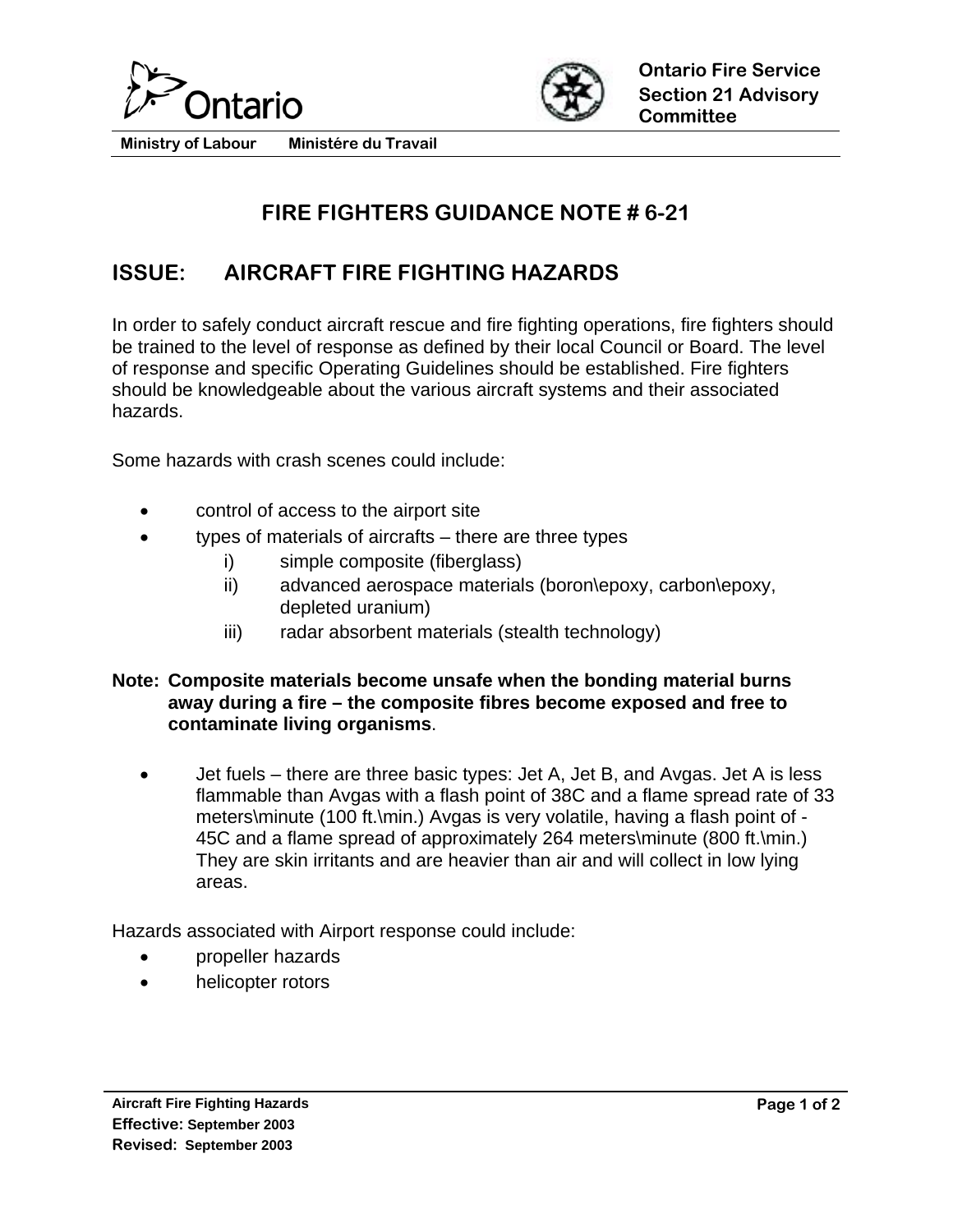



**Ministry of Labour Ministére du Travail** 

## **FIRE FIGHTERS GUIDANCE NOTE # 6-21**

## **ISSUE: AIRCRAFT FIRE FIGHTING HAZARDS**

In order to safely conduct aircraft rescue and fire fighting operations, fire fighters should be trained to the level of response as defined by their local Council or Board. The level of response and specific Operating Guidelines should be established. Fire fighters should be knowledgeable about the various aircraft systems and their associated hazards.

Some hazards with crash scenes could include:

- control of access to the airport site
- types of materials of aircrafts there are three types
	- i) simple composite (fiberglass)
	- ii) advanced aerospace materials (boron\epoxy, carbon\epoxy, depleted uranium)
	- iii) radar absorbent materials (stealth technology)

## **Note: Composite materials become unsafe when the bonding material burns away during a fire – the composite fibres become exposed and free to contaminate living organisms**.

 Jet fuels – there are three basic types: Jet A, Jet B, and Avgas. Jet A is less flammable than Avgas with a flash point of 38C and a flame spread rate of 33 meters\minute (100 ft.\min.) Avgas is very volatile, having a flash point of - 45C and a flame spread of approximately 264 meters\minute (800 ft.\min.) They are skin irritants and are heavier than air and will collect in low lying areas.

Hazards associated with Airport response could include:

- propeller hazards
- helicopter rotors